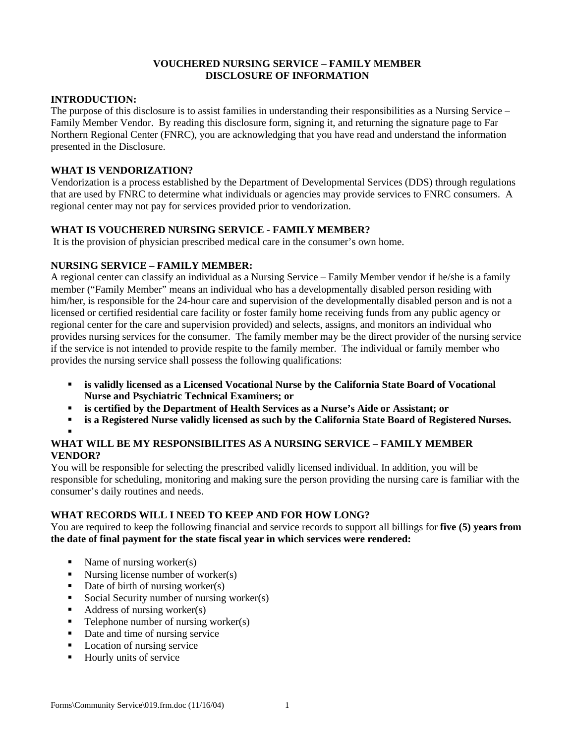### **VOUCHERED NURSING SERVICE – FAMILY MEMBER DISCLOSURE OF INFORMATION**

#### **INTRODUCTION:**

The purpose of this disclosure is to assist families in understanding their responsibilities as a Nursing Service – Family Member Vendor. By reading this disclosure form, signing it, and returning the signature page to Far Northern Regional Center (FNRC), you are acknowledging that you have read and understand the information presented in the Disclosure.

#### **WHAT IS VENDORIZATION?**

Vendorization is a process established by the Department of Developmental Services (DDS) through regulations that are used by FNRC to determine what individuals or agencies may provide services to FNRC consumers. A regional center may not pay for services provided prior to vendorization.

### **WHAT IS VOUCHERED NURSING SERVICE - FAMILY MEMBER?**

It is the provision of physician prescribed medical care in the consumer's own home.

### **NURSING SERVICE – FAMILY MEMBER:**

A regional center can classify an individual as a Nursing Service – Family Member vendor if he/she is a family member ("Family Member" means an individual who has a developmentally disabled person residing with him/her, is responsible for the 24-hour care and supervision of the developmentally disabled person and is not a licensed or certified residential care facility or foster family home receiving funds from any public agency or regional center for the care and supervision provided) and selects, assigns, and monitors an individual who provides nursing services for the consumer. The family member may be the direct provider of the nursing service if the service is not intended to provide respite to the family member. The individual or family member who provides the nursing service shall possess the following qualifications:

- ß **is validly licensed as a Licensed Vocational Nurse by the California State Board of Vocational Nurse and Psychiatric Technical Examiners; or**
- **is certified by the Department of Health Services as a Nurse's Aide or Assistant; or**
- ß **is a Registered Nurse validly licensed as such by the California State Board of Registered Nurses.**

#### ß **WHAT WILL BE MY RESPONSIBILITES AS A NURSING SERVICE – FAMILY MEMBER VENDOR?**

You will be responsible for selecting the prescribed validly licensed individual. In addition, you will be responsible for scheduling, monitoring and making sure the person providing the nursing care is familiar with the consumer's daily routines and needs.

#### **WHAT RECORDS WILL I NEED TO KEEP AND FOR HOW LONG?**

You are required to keep the following financial and service records to support all billings for **five (5) years from the date of final payment for the state fiscal year in which services were rendered:** 

- Name of nursing worker(s)
- $\blacksquare$  Nursing license number of worker(s)
- $\blacksquare$  Date of birth of nursing worker(s)
- ß Social Security number of nursing worker(s)
- ß Address of nursing worker(s)
- $\blacksquare$  Telephone number of nursing worker(s)
- Date and time of nursing service
- Location of nursing service
- ß Hourly units of service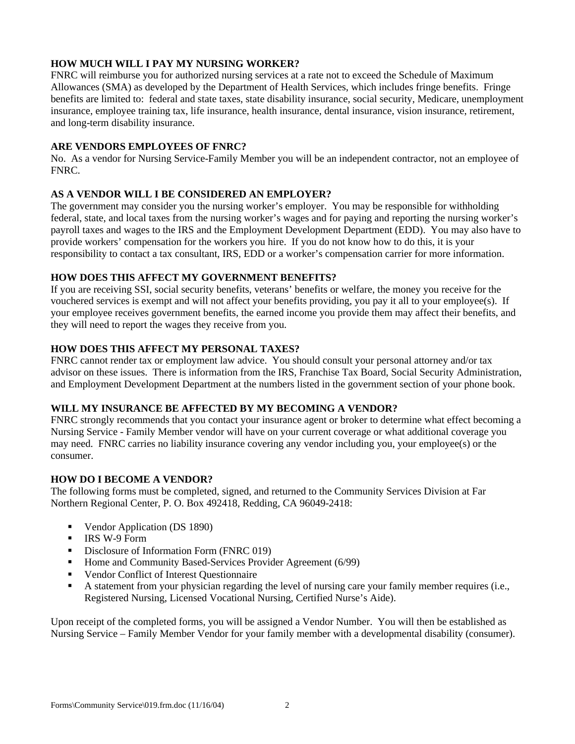## **HOW MUCH WILL I PAY MY NURSING WORKER?**

FNRC will reimburse you for authorized nursing services at a rate not to exceed the Schedule of Maximum Allowances (SMA) as developed by the Department of Health Services, which includes fringe benefits. Fringe benefits are limited to: federal and state taxes, state disability insurance, social security, Medicare, unemployment insurance, employee training tax, life insurance, health insurance, dental insurance, vision insurance, retirement, and long-term disability insurance.

### **ARE VENDORS EMPLOYEES OF FNRC?**

No. As a vendor for Nursing Service-Family Member you will be an independent contractor, not an employee of FNRC.

### **AS A VENDOR WILL I BE CONSIDERED AN EMPLOYER?**

The government may consider you the nursing worker's employer. You may be responsible for withholding federal, state, and local taxes from the nursing worker's wages and for paying and reporting the nursing worker's payroll taxes and wages to the IRS and the Employment Development Department (EDD). You may also have to provide workers' compensation for the workers you hire. If you do not know how to do this, it is your responsibility to contact a tax consultant, IRS, EDD or a worker's compensation carrier for more information.

#### **HOW DOES THIS AFFECT MY GOVERNMENT BENEFITS?**

If you are receiving SSI, social security benefits, veterans' benefits or welfare, the money you receive for the vouchered services is exempt and will not affect your benefits providing, you pay it all to your employee(s). If your employee receives government benefits, the earned income you provide them may affect their benefits, and they will need to report the wages they receive from you.

# **HOW DOES THIS AFFECT MY PERSONAL TAXES?**

FNRC cannot render tax or employment law advice. You should consult your personal attorney and/or tax advisor on these issues. There is information from the IRS, Franchise Tax Board, Social Security Administration, and Employment Development Department at the numbers listed in the government section of your phone book.

# **WILL MY INSURANCE BE AFFECTED BY MY BECOMING A VENDOR?**

FNRC strongly recommends that you contact your insurance agent or broker to determine what effect becoming a Nursing Service - Family Member vendor will have on your current coverage or what additional coverage you may need. FNRC carries no liability insurance covering any vendor including you, your employee(s) or the consumer.

#### **HOW DO I BECOME A VENDOR?**

The following forms must be completed, signed, and returned to the Community Services Division at Far Northern Regional Center, P. O. Box 492418, Redding, CA 96049-2418:

- Vendor Application (DS 1890)
- $\blacksquare$  IRS W-9 Form
- Disclosure of Information Form (FNRC 019)
- $\blacksquare$  Home and Community Based-Services Provider Agreement (6/99)
- **•** Vendor Conflict of Interest Questionnaire
- ß A statement from your physician regarding the level of nursing care your family member requires (i.e., Registered Nursing, Licensed Vocational Nursing, Certified Nurse's Aide).

Upon receipt of the completed forms, you will be assigned a Vendor Number. You will then be established as Nursing Service – Family Member Vendor for your family member with a developmental disability (consumer).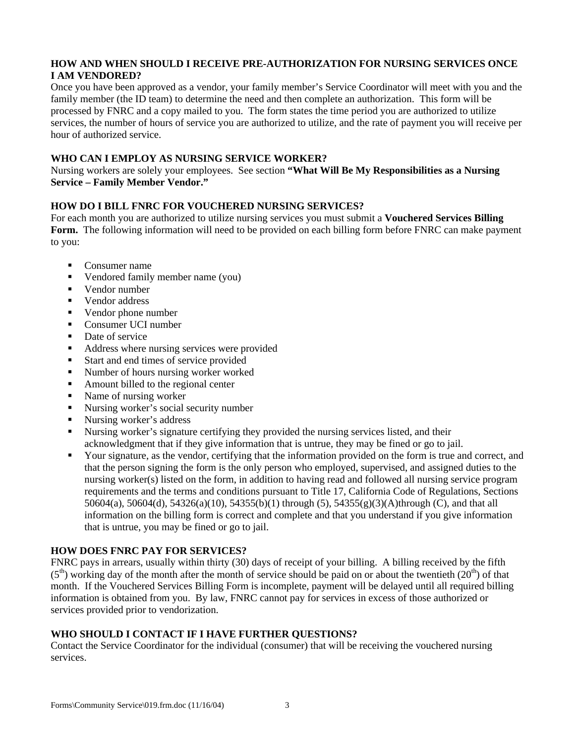## **HOW AND WHEN SHOULD I RECEIVE PRE-AUTHORIZATION FOR NURSING SERVICES ONCE I AM VENDORED?**

Once you have been approved as a vendor, your family member's Service Coordinator will meet with you and the family member (the ID team) to determine the need and then complete an authorization. This form will be processed by FNRC and a copy mailed to you. The form states the time period you are authorized to utilize services, the number of hours of service you are authorized to utilize, and the rate of payment you will receive per hour of authorized service.

### **WHO CAN I EMPLOY AS NURSING SERVICE WORKER?**

Nursing workers are solely your employees. See section **"What Will Be My Responsibilities as a Nursing Service – Family Member Vendor."** 

# **HOW DO I BILL FNRC FOR VOUCHERED NURSING SERVICES?**

For each month you are authorized to utilize nursing services you must submit a **Vouchered Services Billing Form.** The following information will need to be provided on each billing form before FNRC can make payment to you:

- $\blacksquare$  Consumer name
- ß Vendored family member name (you)
- $\blacksquare$  Vendor number
- ß Vendor address
- Vendor phone number
- Consumer UCI number
- Date of service
- Address where nursing services were provided
- **Start and end times of service provided**
- Number of hours nursing worker worked
- Amount billed to the regional center
- Name of nursing worker
- Nursing worker's social security number
- Nursing worker's address
- ß Nursing worker's signature certifying they provided the nursing services listed, and their acknowledgment that if they give information that is untrue, they may be fined or go to jail.
- ß Your signature, as the vendor, certifying that the information provided on the form is true and correct, and that the person signing the form is the only person who employed, supervised, and assigned duties to the nursing worker(s) listed on the form, in addition to having read and followed all nursing service program requirements and the terms and conditions pursuant to Title 17, California Code of Regulations, Sections 50604(a), 50604(d), 54326(a)(10), 54355(b)(1) through (5), 54355(g)(3)(A)through (C), and that all information on the billing form is correct and complete and that you understand if you give information that is untrue, you may be fined or go to jail.

# **HOW DOES FNRC PAY FOR SERVICES?**

FNRC pays in arrears, usually within thirty (30) days of receipt of your billing. A billing received by the fifth  $(5<sup>th</sup>)$  working day of the month after the month of service should be paid on or about the twentieth  $(20<sup>th</sup>)$  of that month. If the Vouchered Services Billing Form is incomplete, payment will be delayed until all required billing information is obtained from you. By law, FNRC cannot pay for services in excess of those authorized or services provided prior to vendorization.

# **WHO SHOULD I CONTACT IF I HAVE FURTHER QUESTIONS?**

Contact the Service Coordinator for the individual (consumer) that will be receiving the vouchered nursing services.